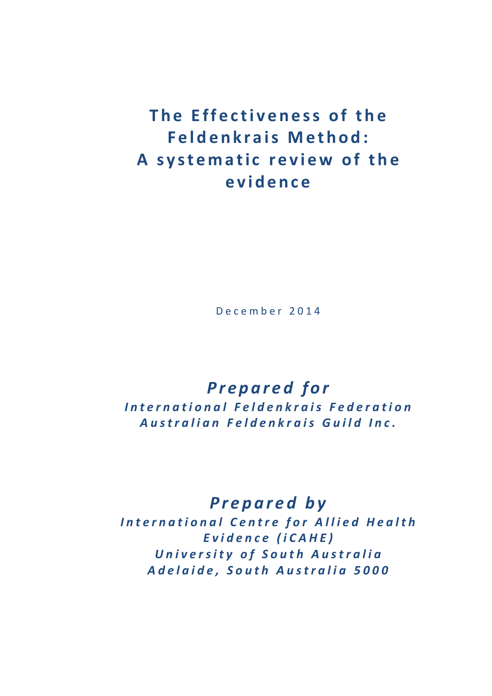**The Effectiveness of the Feldenkrais Method:** A systematic review of the **e v i d e n c e**

D e c e m b e r 2 0 1 4

## *P r e p a r e d f o r*

*I n t e r n a t i o n a l F e l d e n k r a i s F e d e r a t i o n A u s t r a l i a n F e l d e n k r a i s G u i l d I n c .* 

### *P r e p a r e d b y*

*International Centre for Allied Health E v i d e n c e ( i C A H E ) U n i v e r s i t y o f S o u t h A u s t r a l i a* A d e l a i d e, S o u th A u stralia 5000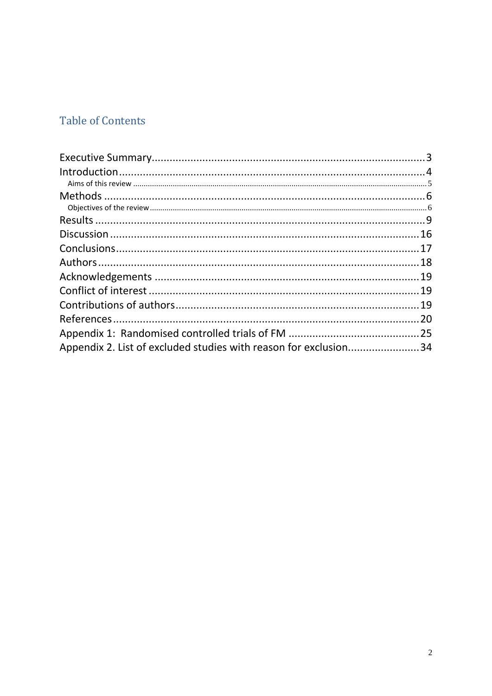### **Table of Contents**

| Appendix 2. List of excluded studies with reason for exclusion34 |  |
|------------------------------------------------------------------|--|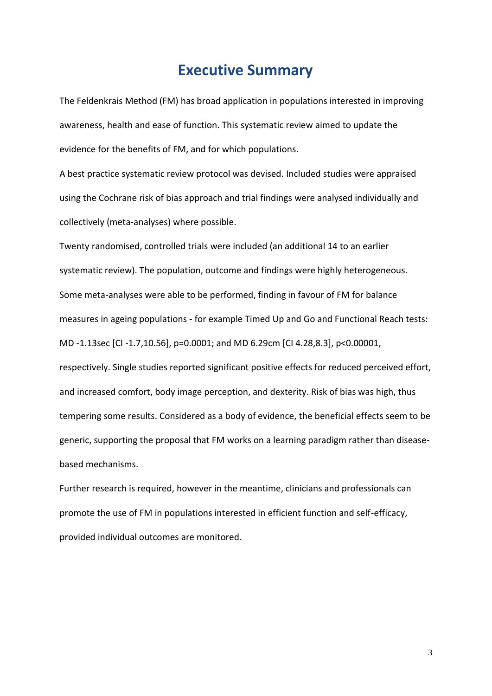### **Executive Summary**

<span id="page-2-0"></span>The Feldenkrais Method (FM) has broad application in populations interested in improving awareness, health and ease of function. This systematic review aimed to update the evidence for the benefits of FM, and for which populations.

A best practice systematic review protocol was devised. Included studies were appraised using the Cochrane risk of bias approach and trial findings were analysed individually and collectively (meta-analyses) where possible.

Twenty randomised, controlled trials were included (an additional 14 to an earlier systematic review). The population, outcome and findings were highly heterogeneous. Some meta-analyses were able to be performed, finding in favour of FM for balance measures in ageing populations - for example Timed Up and Go and Functional Reach tests: MD -1.13sec [CI -1.7,10.56], p=0.0001; and MD 6.29cm [CI 4.28,8.3], p<0.00001, respectively. Single studies reported significant positive effects for reduced perceived effort, and increased comfort, body image perception, and dexterity. Risk of bias was high, thus tempering some results. Considered as a body of evidence, the beneficial effects seem to be generic, supporting the proposal that FM works on a learning paradigm rather than diseasebased mechanisms.

Further research is required, however in the meantime, clinicians and professionals can promote the use of FM in populations interested in efficient function and self-efficacy, provided individual outcomes are monitored.

3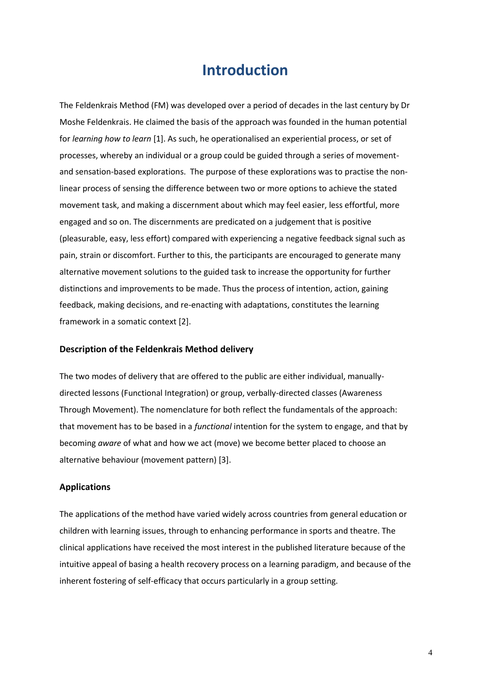### **Introduction**

<span id="page-3-0"></span>The Feldenkrais Method (FM) was developed over a period of decades in the last century by Dr Moshe Feldenkrais. He claimed the basis of the approach was founded in the human potential for *learning how to learn* [1]. As such, he operationalised an experiential process, or set of processes, whereby an individual or a group could be guided through a series of movementand sensation-based explorations. The purpose of these explorations was to practise the nonlinear process of sensing the difference between two or more options to achieve the stated movement task, and making a discernment about which may feel easier, less effortful, more engaged and so on. The discernments are predicated on a judgement that is positive (pleasurable, easy, less effort) compared with experiencing a negative feedback signal such as pain, strain or discomfort. Further to this, the participants are encouraged to generate many alternative movement solutions to the guided task to increase the opportunity for further distinctions and improvements to be made. Thus the process of intention, action, gaining feedback, making decisions, and re-enacting with adaptations, constitutes the learning framework in a somatic context [2].

#### **Description of the Feldenkrais Method delivery**

The two modes of delivery that are offered to the public are either individual, manuallydirected lessons (Functional Integration) or group, verbally-directed classes (Awareness Through Movement). The nomenclature for both reflect the fundamentals of the approach: that movement has to be based in a *functional* intention for the system to engage, and that by becoming *aware* of what and how we act (move) we become better placed to choose an alternative behaviour (movement pattern) [3].

#### **Applications**

The applications of the method have varied widely across countries from general education or children with learning issues, through to enhancing performance in sports and theatre. The clinical applications have received the most interest in the published literature because of the intuitive appeal of basing a health recovery process on a learning paradigm, and because of the inherent fostering of self-efficacy that occurs particularly in a group setting.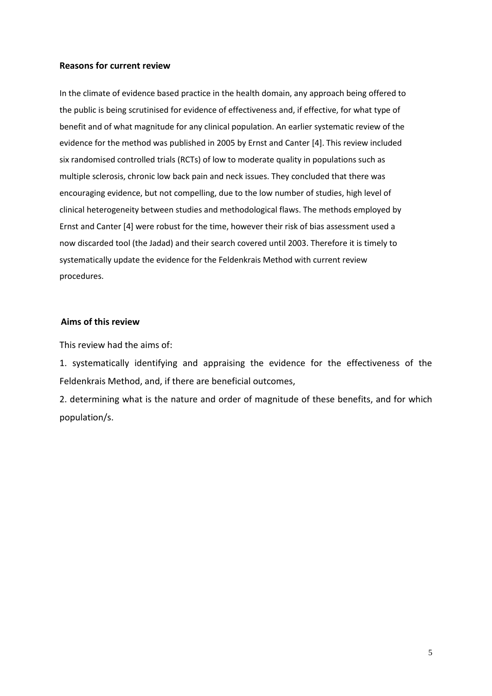#### **Reasons for current review**

In the climate of evidence based practice in the health domain, any approach being offered to the public is being scrutinised for evidence of effectiveness and, if effective, for what type of benefit and of what magnitude for any clinical population. An earlier systematic review of the evidence for the method was published in 2005 by Ernst and Canter [4]. This review included six randomised controlled trials (RCTs) of low to moderate quality in populations such as multiple sclerosis, chronic low back pain and neck issues. They concluded that there was encouraging evidence, but not compelling, due to the low number of studies, high level of clinical heterogeneity between studies and methodological flaws. The methods employed by Ernst and Canter [4] were robust for the time, however their risk of bias assessment used a now discarded tool (the Jadad) and their search covered until 2003. Therefore it is timely to systematically update the evidence for the Feldenkrais Method with current review procedures.

#### <span id="page-4-0"></span>**Aims of this review**

This review had the aims of:

1. systematically identifying and appraising the evidence for the effectiveness of the Feldenkrais Method, and, if there are beneficial outcomes,

2. determining what is the nature and order of magnitude of these benefits, and for which population/s.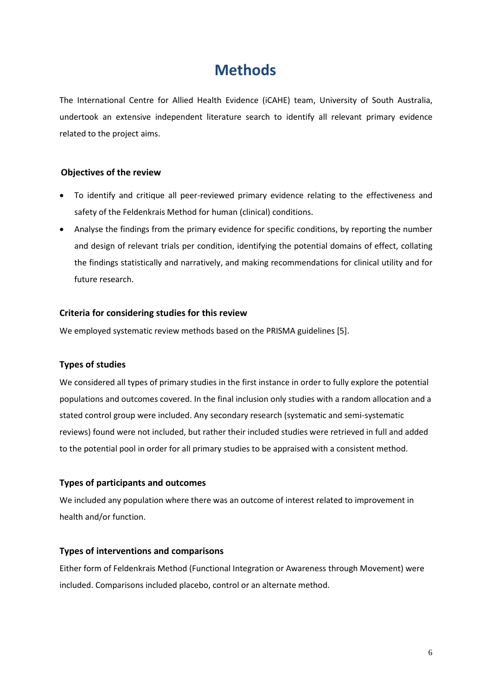## **Methods**

<span id="page-5-0"></span>The International Centre for Allied Health Evidence (iCAHE) team, University of South Australia, undertook an extensive independent literature search to identify all relevant primary evidence related to the project aims.

#### <span id="page-5-1"></span>**Objectives of the review**

- To identify and critique all peer-reviewed primary evidence relating to the effectiveness and safety of the Feldenkrais Method for human (clinical) conditions.
- Analyse the findings from the primary evidence for specific conditions, by reporting the number and design of relevant trials per condition, identifying the potential domains of effect, collating the findings statistically and narratively, and making recommendations for clinical utility and for future research.

#### **Criteria for considering studies for this review**

We employed systematic review methods based on the PRISMA guidelines [5].

#### **Types of studies**

We considered all types of primary studies in the first instance in order to fully explore the potential populations and outcomes covered. In the final inclusion only studies with a random allocation and a stated control group were included. Any secondary research (systematic and semi-systematic reviews) found were not included, but rather their included studies were retrieved in full and added to the potential pool in order for all primary studies to be appraised with a consistent method.

#### **Types of participants and outcomes**

We included any population where there was an outcome of interest related to improvement in health and/or function.

#### **Types of interventions and comparisons**

Either form of Feldenkrais Method (Functional Integration or Awareness through Movement) were included. Comparisons included placebo, control or an alternate method.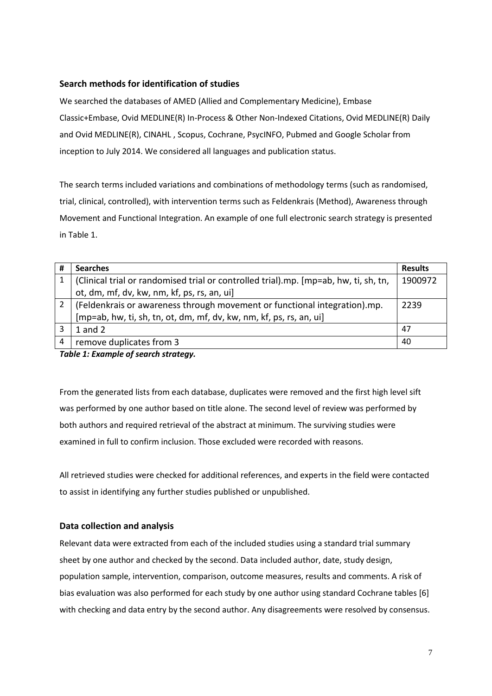#### **Search methods for identification of studies**

We searched the databases of AMED (Allied and Complementary Medicine), Embase Classic+Embase, Ovid MEDLINE(R) In-Process & Other Non-Indexed Citations, Ovid MEDLINE(R) Daily and Ovid MEDLINE(R), CINAHL , Scopus, Cochrane, PsycINFO, Pubmed and Google Scholar from inception to July 2014. We considered all languages and publication status.

The search terms included variations and combinations of methodology terms (such as randomised, trial, clinical, controlled), with intervention terms such as Feldenkrais (Method), Awareness through Movement and Functional Integration. An example of one full electronic search strategy is presented in Table 1.

| #              | <b>Searches</b>                                                                      | <b>Results</b> |
|----------------|--------------------------------------------------------------------------------------|----------------|
| 1              | (Clinical trial or randomised trial or controlled trial).mp. [mp=ab, hw, ti, sh, tn, | 1900972        |
|                | ot, dm, mf, dv, kw, nm, kf, ps, rs, an, ui]                                          |                |
| $\overline{2}$ | (Feldenkrais or awareness through movement or functional integration).mp.            | 2239           |
|                | [mp=ab, hw, ti, sh, tn, ot, dm, mf, dv, kw, nm, kf, ps, rs, an, ui]                  |                |
| 3              | $1$ and $2$                                                                          | 47             |
| 4              | remove duplicates from 3                                                             | 40             |
|                | _ , , , _ , , c , ,                                                                  |                |

*Table 1: Example of search strategy.*

From the generated lists from each database, duplicates were removed and the first high level sift was performed by one author based on title alone. The second level of review was performed by both authors and required retrieval of the abstract at minimum. The surviving studies were examined in full to confirm inclusion. Those excluded were recorded with reasons.

All retrieved studies were checked for additional references, and experts in the field were contacted to assist in identifying any further studies published or unpublished.

#### **Data collection and analysis**

Relevant data were extracted from each of the included studies using a standard trial summary sheet by one author and checked by the second. Data included author, date, study design, population sample, intervention, comparison, outcome measures, results and comments. A risk of bias evaluation was also performed for each study by one author using standard Cochrane tables [6] with checking and data entry by the second author. Any disagreements were resolved by consensus.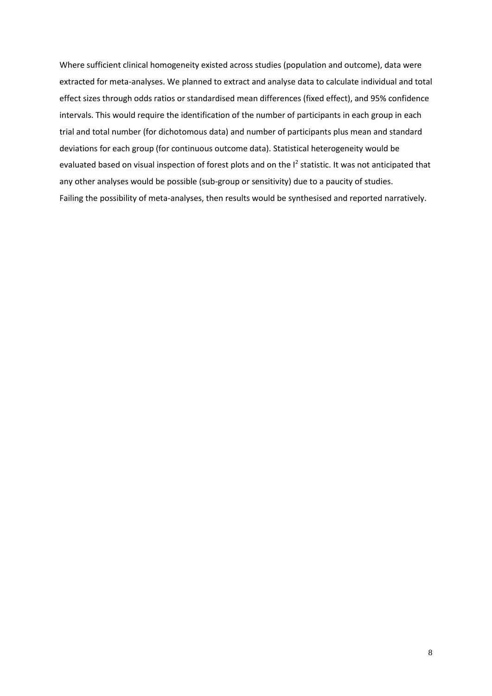Where sufficient clinical homogeneity existed across studies (population and outcome), data were extracted for meta-analyses. We planned to extract and analyse data to calculate individual and total effect sizes through odds ratios or standardised mean differences (fixed effect), and 95% confidence intervals. This would require the identification of the number of participants in each group in each trial and total number (for dichotomous data) and number of participants plus mean and standard deviations for each group (for continuous outcome data). Statistical heterogeneity would be evaluated based on visual inspection of forest plots and on the  $I^2$  statistic. It was not anticipated that any other analyses would be possible (sub-group or sensitivity) due to a paucity of studies. Failing the possibility of meta-analyses, then results would be synthesised and reported narratively.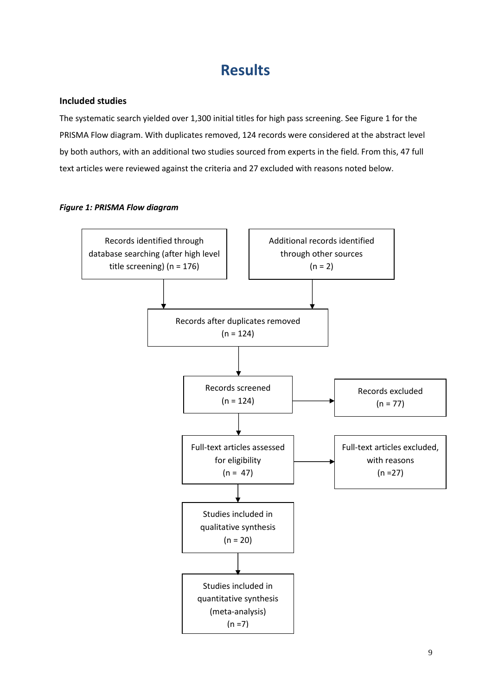## **Results**

#### <span id="page-8-0"></span>**Included studies**

The systematic search yielded over 1,300 initial titles for high pass screening. See Figure 1 for the PRISMA Flow diagram. With duplicates removed, 124 records were considered at the abstract level by both authors, with an additional two studies sourced from experts in the field. From this, 47 full text articles were reviewed against the criteria and 27 excluded with reasons noted below.

#### *Figure 1: PRISMA Flow diagram*

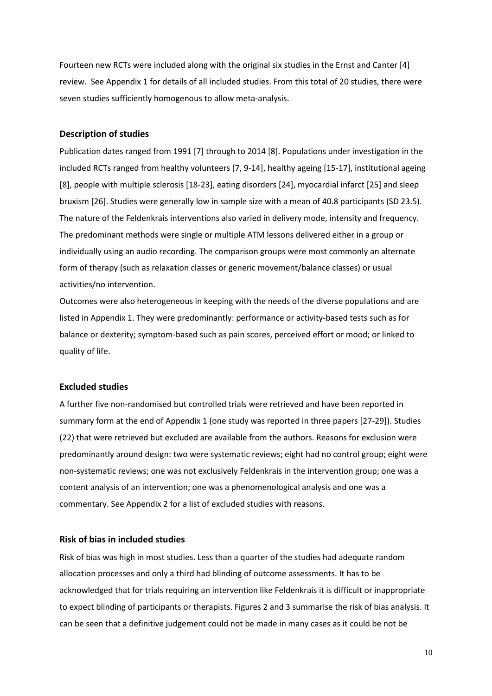Fourteen new RCTs were included along with the original six studies in the Ernst and Canter [4] review. See Appendix 1 for details of all included studies. From this total of 20 studies, there were seven studies sufficiently homogenous to allow meta-analysis.

#### **Description of studies**

Publication dates ranged from 1991 [7] through to 2014 [8]. Populations under investigation in the included RCTs ranged from healthy volunteers [7, 9-14], healthy ageing [15-17], institutional ageing [8], people with multiple sclerosis [18-23], eating disorders [24], myocardial infarct [25] and sleep bruxism [26]. Studies were generally low in sample size with a mean of 40.8 participants (SD 23.5). The nature of the Feldenkrais interventions also varied in delivery mode, intensity and frequency. The predominant methods were single or multiple ATM lessons delivered either in a group or individually using an audio recording. The comparison groups were most commonly an alternate form of therapy (such as relaxation classes or generic movement/balance classes) or usual activities/no intervention.

Outcomes were also heterogeneous in keeping with the needs of the diverse populations and are listed in Appendix 1. They were predominantly: performance or activity-based tests such as for balance or dexterity; symptom-based such as pain scores, perceived effort or mood; or linked to quality of life.

#### **Excluded studies**

A further five non-randomised but controlled trials were retrieved and have been reported in summary form at the end of Appendix 1 (one study was reported in three papers [27-29]). Studies (22) that were retrieved but excluded are available from the authors. Reasons for exclusion were predominantly around design: two were systematic reviews; eight had no control group; eight were non-systematic reviews; one was not exclusively Feldenkrais in the intervention group; one was a content analysis of an intervention; one was a phenomenological analysis and one was a commentary. See Appendix 2 for a list of excluded studies with reasons.

#### **Risk of bias in included studies**

Risk of bias was high in most studies. Less than a quarter of the studies had adequate random allocation processes and only a third had blinding of outcome assessments. It has to be acknowledged that for trials requiring an intervention like Feldenkrais it is difficult or inappropriate to expect blinding of participants or therapists. Figures 2 and 3 summarise the risk of bias analysis. It can be seen that a definitive judgement could not be made in many cases as it could be not be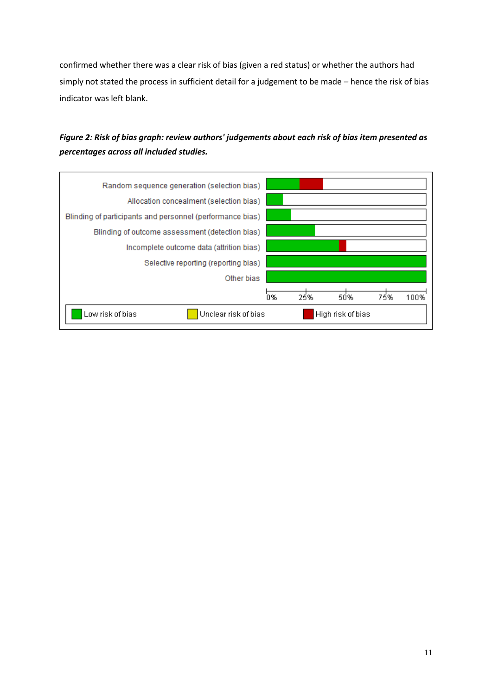confirmed whether there was a clear risk of bias (given a red status) or whether the authors had simply not stated the process in sufficient detail for a judgement to be made – hence the risk of bias indicator was left blank.

### *Figure 2: Risk of bias graph: review authors' judgements about each risk of bias item presented as percentages across all included studies.*

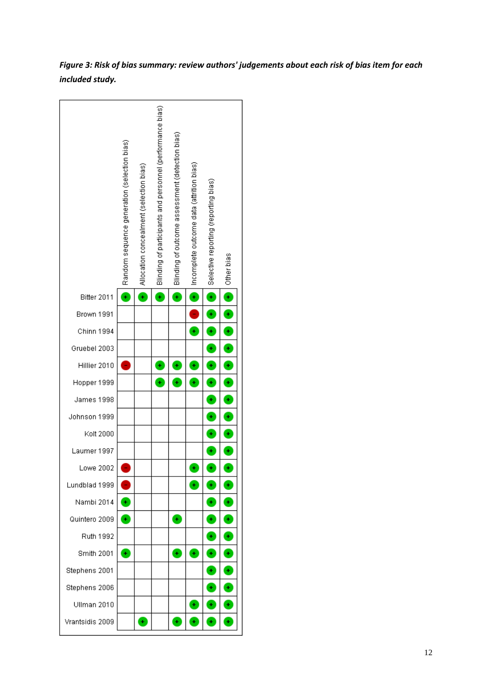*Figure 3: Risk of bias summary: review authors' judgements about each risk of bias item for each included study.*

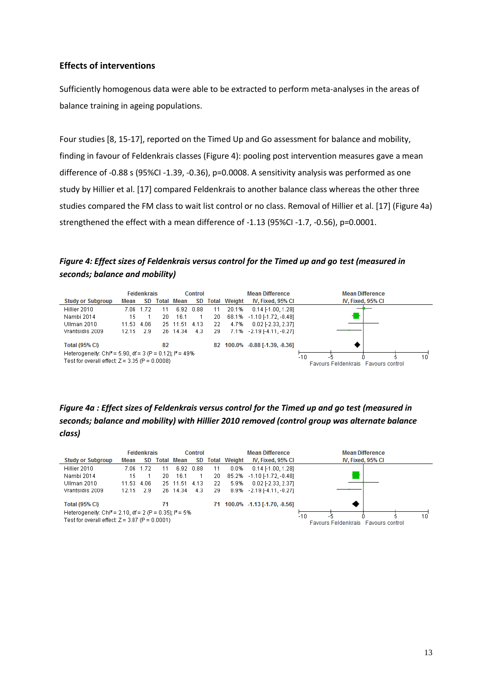#### **Effects of interventions**

Sufficiently homogenous data were able to be extracted to perform meta-analyses in the areas of balance training in ageing populations.

Four studies [8, 15-17], reported on the Timed Up and Go assessment for balance and mobility, finding in favour of Feldenkrais classes (Figure 4): pooling post intervention measures gave a mean difference of -0.88 s (95%CI -1.39, -0.36), p=0.0008. A sensitivity analysis was performed as one study by Hillier et al. [17] compared Feldenkrais to another balance class whereas the other three studies compared the FM class to wait list control or no class. Removal of Hillier et al. [17] (Figure 4a) strengthened the effect with a mean difference of -1.13 (95%CI -1.7, -0.56), p=0.0001.

#### *Figure 4: Effect sizes of Feldenkrais versus control for the Timed up and go test (measured in seconds; balance and mobility)*

|                                                                                                                           | <b>Feldenkrais</b><br>Control |      |       |               | <b>Mean Difference</b> | <b>Mean Difference</b> |                                                                 |                                |                   |
|---------------------------------------------------------------------------------------------------------------------------|-------------------------------|------|-------|---------------|------------------------|------------------------|-----------------------------------------------------------------|--------------------------------|-------------------|
| <b>Study or Subgroup</b>                                                                                                  | Mean                          | SD.  | Total | Mean          | SD.                    |                        | <b>Total Weight</b>                                             | IV, Fixed, 95% CI              | IV, Fixed, 95% CI |
| Hillier 2010                                                                                                              | 7 N.R                         | 1.72 |       | 6.92          | 0.88                   | 11                     | 20.1%                                                           | $0.14$ [-1.00, 1.28]           |                   |
| Nambi 2014                                                                                                                | 15                            |      | 20.   | 16.1          |                        | 20                     | 68.1%                                                           | $-1.10$ $[-1.72, -0.48]$       |                   |
| Ullman 2010                                                                                                               | 11.53                         | 4.06 |       | 25 11.51 4.13 |                        | 22                     | 4.7%                                                            | $0.02$ F2.33, 2.37]            |                   |
| Vrantsidis 2009                                                                                                           | 12.15                         | -2.9 |       | 26 14.34      | 4.3                    | 29                     | 7.1%                                                            | $-2.19$ [-4.11, -0.27]         |                   |
| Total (95% CI)                                                                                                            |                               |      | 82    |               |                        |                        |                                                                 | 82 100.0% -0.88 [-1.39, -0.36] |                   |
| Heterogeneity: Chi <sup>2</sup> = 5.90, df = 3 (P = 0.12); $P = 49\%$<br>Test for overall effect: $Z = 3.35$ (P = 0.0008) |                               |      |       |               |                        |                        | $-10$<br>10<br>-5<br><b>Eavours Feldenkrais Eavours control</b> |                                |                   |

#### *Figure 4a : Effect sizes of Feldenkrais versus control for the Timed up and go test (measured in seconds; balance and mobility) with Hillier 2010 removed (control group was alternate balance class)*

|                                                                                                                                    | <b>Feldenkrais</b><br>Control |      |    |                   | <b>Mean Difference</b> | <b>Mean Difference</b> |                     |                                |                                                    |
|------------------------------------------------------------------------------------------------------------------------------------|-------------------------------|------|----|-------------------|------------------------|------------------------|---------------------|--------------------------------|----------------------------------------------------|
| <b>Study or Subgroup</b>                                                                                                           | Mean                          | SD.  |    | <b>Total Mean</b> | SD                     |                        | <b>Total Weight</b> | IV, Fixed, 95% CI              | IV, Fixed, 95% CI                                  |
| Hillier 2010                                                                                                                       | 7.06                          | 172  | 11 | 6.92              | 0.88                   | 11                     | 0.0%                | $0.14$ [-1.00, 1.28]           |                                                    |
| Nambi 2014                                                                                                                         | 15                            |      | 20 | 16.1              |                        | 20                     | 85.2%               | $-1.10$ $[-1.72, -0.48]$       |                                                    |
| Ullman 2010                                                                                                                        | 11.53 4.06                    |      |    | 25 11.51          | 4.13                   | 22                     | 5.9%                | $0.02$ F2.33, 2.37]            |                                                    |
| Vrantsidis 2009                                                                                                                    | 12.15                         | -2.9 |    | 26 14.34          | 4.3                    | 29                     | 8.9%                | $-2.19[-4.11, -0.27]$          |                                                    |
| Total (95% CI)                                                                                                                     |                               |      | 71 |                   |                        | 71                     |                     | $100.0\%$ -1.13 [-1.70, -0.56] |                                                    |
| Heterogeneity: Chi <sup>2</sup> = 2.10, df = 2 (P = 0.35); l <sup>2</sup> = 5%<br>Test for overall effect: $Z = 3.87$ (P = 0.0001) |                               |      |    |                   |                        |                        |                     |                                | $-10$<br>10<br>Favours Feldenkrais Favours control |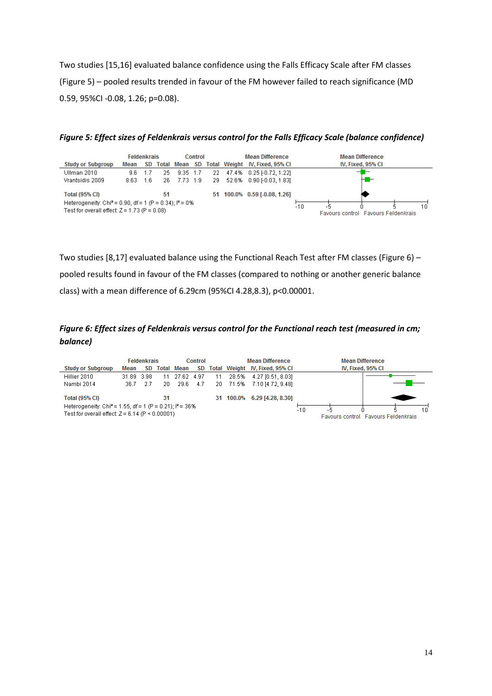Two studies [15,16] evaluated balance confidence using the Falls Efficacy Scale after FM classes (Figure 5) – pooled results trended in favour of the FM however failed to reach significance (MD 0.59, 95%CI -0.08, 1.26; p=0.08).

*Figure 5: Effect sizes of Feldenkrais versus control for the Falls Efficacy Scale (balance confidence)*

|                                                                                                                        |      | Feldenkrais |    |               | <b>Control</b> |     | <b>Mean Difference</b>              |  |    | <b>Mean Difference</b> |  |
|------------------------------------------------------------------------------------------------------------------------|------|-------------|----|---------------|----------------|-----|-------------------------------------|--|----|------------------------|--|
| <b>Study or Subgroup</b>                                                                                               | Mean |             |    | SD Total Mean |                |     | SD Total Weight IV, Fixed, 95% CI   |  |    | IV, Fixed, 95% CI      |  |
| Ullman 2010                                                                                                            | 9.6  | -1.7        | 25 | $9.35$ 1.7    |                |     | 22 47.4% 0.25 [-0.72, 1.22]         |  |    |                        |  |
| Vrantsidis 2009                                                                                                        | 8.63 | 1.6         |    | 26 7.73 1.9   |                |     | 29 52.6% 0.90 [-0.03, 1.83]         |  |    |                        |  |
| <b>Total (95% CI)</b>                                                                                                  |      |             | 51 |               |                |     | 51 100.0% 0.59 [-0.08, 1.26]        |  |    |                        |  |
| Heterogeneity: Chi <sup>2</sup> = 0.90, df = 1 (P = 0.34); $P = 0\%$<br>Test for overall effect: $Z = 1.73$ (P = 0.08) |      |             |    |               |                | -10 | Favours control Favours Feldenkrais |  | 10 |                        |  |

Two studies [8,17] evaluated balance using the Functional Reach Test after FM classes (Figure 6) – pooled results found in favour of the FM classes (compared to nothing or another generic balance class) with a mean difference of 6.29cm (95%CI 4.28,8.3), p<0.00001.

*Figure 6: Effect sizes of Feldenkrais versus control for the Functional reach test (measured in cm; balance)*

|                                                                                                                            |            | <b>Feldenkrais</b> |     |                   | Control |        |          |                                |                                                    |  | <b>Mean Difference</b> |  |  |  | <b>Mean Difference</b> |
|----------------------------------------------------------------------------------------------------------------------------|------------|--------------------|-----|-------------------|---------|--------|----------|--------------------------------|----------------------------------------------------|--|------------------------|--|--|--|------------------------|
| <b>Study or Subgroup</b>                                                                                                   | Mean       | SD.                |     | <b>Total Mean</b> | SD      |        |          | Total Weight IV, Fixed, 95% CI | IV, Fixed, 95% CI                                  |  |                        |  |  |  |                        |
| Hillier 2010                                                                                                               | 31.89 3.98 |                    | 11  | -27.62            | 4.97    | - 11 - | 28.5%    | 4.27 [0.51, 8.03]              |                                                    |  |                        |  |  |  |                        |
| Nambi 2014                                                                                                                 | 36.7       | 27                 | 20. | 29.6              | 4.7     |        | 20 71.5% | 7.10 [4.72, 9.48]              |                                                    |  |                        |  |  |  |                        |
| <b>Total (95% CI)</b>                                                                                                      |            |                    | 31  |                   |         |        |          | 31 100.0% 6.29 [4.28, 8.30]    |                                                    |  |                        |  |  |  |                        |
| Heterogeneity: Chi <sup>2</sup> = 1.55, df = 1 (P = 0.21); $P = 36\%$<br>Test for overall effect: $Z = 6.14$ (P < 0.00001) |            |                    |     |                   |         |        |          |                                | $-10$<br>10<br>Favours control Favours Feldenkrais |  |                        |  |  |  |                        |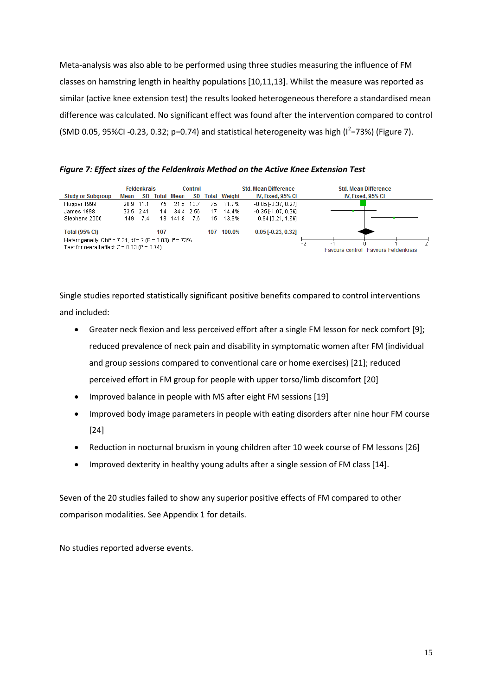Meta-analysis was also able to be performed using three studies measuring the influence of FM classes on hamstring length in healthy populations [10,11,13]. Whilst the measure was reported as similar (active knee extension test) the results looked heterogeneous therefore a standardised mean difference was calculated. No significant effect was found after the intervention compared to control  $(SMD 0.05, 95\% CI -0.23, 0.32; p=0.74)$  and statistical heterogeneity was high  $(I^2=73\%)$  (Figure 7).

#### *Figure 7: Effect sizes of the Feldenkrais Method on the Active Knee Extension Test*

| <b>Feldenkrais</b><br>Control                                                                                           |           |           |     |                   |       |     |                     | <b>Std. Mean Difference</b> | <b>Std. Mean Difference</b>                       |
|-------------------------------------------------------------------------------------------------------------------------|-----------|-----------|-----|-------------------|-------|-----|---------------------|-----------------------------|---------------------------------------------------|
| <b>Study or Subgroup</b>                                                                                                | Mean      | SD.       |     | <b>Total Mean</b> | SD.   |     | <b>Total Weight</b> | IV, Fixed, 95% CI           | IV, Fixed, 95% CI                                 |
| Hopper 1999                                                                                                             | 20.9 11.1 |           | 75. | 21.5 13.7         |       | 75. | 71.7%               | $-0.05$ $[-0.37, 0.27]$     |                                                   |
| James 1998                                                                                                              |           | 33.5 2.41 | 14  | 34.4              | -2.56 | 17  | 14.4%               | $-0.35$ $[-1.07, 0.36]$     |                                                   |
| Stephens 2006                                                                                                           | 149.      | 7.4       | 18. | 141.8             | 7.6.  | 15. | 13.9%               | $0.94$ [0.21, 1.66]         |                                                   |
| <b>Total (95% CI)</b>                                                                                                   |           |           | 107 |                   |       | 107 | 100.0%              | $0.05$ [-0.23, 0.32]        |                                                   |
| Heterogeneity: Chi <sup>2</sup> = 7.31, df = 2 (P = 0.03); $P = 73\%$<br>Test for overall effect: $Z = 0.33$ (P = 0.74) |           |           |     |                   |       |     |                     |                             | - 1<br><b>Favours control Favours Feldenkrais</b> |

Single studies reported statistically significant positive benefits compared to control interventions and included:

- Greater neck flexion and less perceived effort after a single FM lesson for neck comfort [9]; reduced prevalence of neck pain and disability in symptomatic women after FM (individual and group sessions compared to conventional care or home exercises) [21]; reduced perceived effort in FM group for people with upper torso/limb discomfort [20]
- Improved balance in people with MS after eight FM sessions [19]
- Improved body image parameters in people with eating disorders after nine hour FM course [24]
- Reduction in nocturnal bruxism in young children after 10 week course of FM lessons [26]
- Improved dexterity in healthy young adults after a single session of FM class [14].

Seven of the 20 studies failed to show any superior positive effects of FM compared to other comparison modalities. See Appendix 1 for details.

No studies reported adverse events.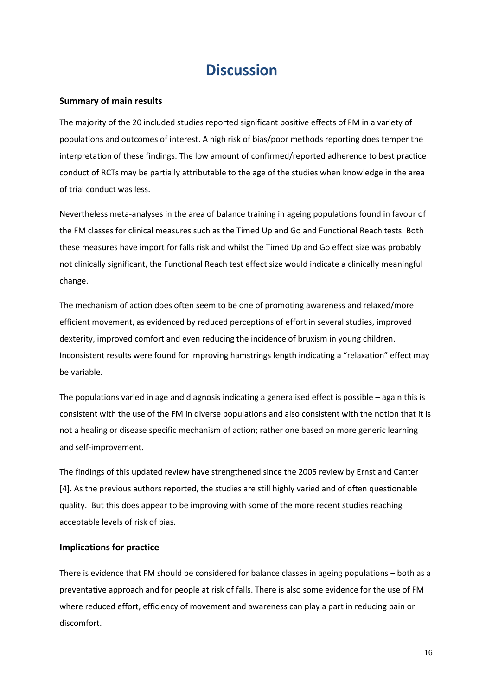### **Discussion**

#### <span id="page-15-0"></span>**Summary of main results**

The majority of the 20 included studies reported significant positive effects of FM in a variety of populations and outcomes of interest. A high risk of bias/poor methods reporting does temper the interpretation of these findings. The low amount of confirmed/reported adherence to best practice conduct of RCTs may be partially attributable to the age of the studies when knowledge in the area of trial conduct was less.

Nevertheless meta-analyses in the area of balance training in ageing populations found in favour of the FM classes for clinical measures such as the Timed Up and Go and Functional Reach tests. Both these measures have import for falls risk and whilst the Timed Up and Go effect size was probably not clinically significant, the Functional Reach test effect size would indicate a clinically meaningful change.

The mechanism of action does often seem to be one of promoting awareness and relaxed/more efficient movement, as evidenced by reduced perceptions of effort in several studies, improved dexterity, improved comfort and even reducing the incidence of bruxism in young children. Inconsistent results were found for improving hamstrings length indicating a "relaxation" effect may be variable.

The populations varied in age and diagnosis indicating a generalised effect is possible – again this is consistent with the use of the FM in diverse populations and also consistent with the notion that it is not a healing or disease specific mechanism of action; rather one based on more generic learning and self-improvement.

The findings of this updated review have strengthened since the 2005 review by Ernst and Canter [4]. As the previous authors reported, the studies are still highly varied and of often questionable quality. But this does appear to be improving with some of the more recent studies reaching acceptable levels of risk of bias.

#### **Implications for practice**

There is evidence that FM should be considered for balance classes in ageing populations – both as a preventative approach and for people at risk of falls. There is also some evidence for the use of FM where reduced effort, efficiency of movement and awareness can play a part in reducing pain or discomfort.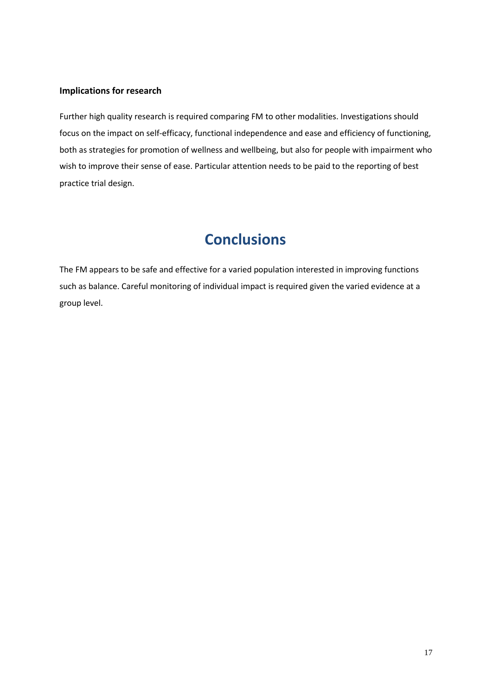#### **Implications for research**

Further high quality research is required comparing FM to other modalities. Investigations should focus on the impact on self-efficacy, functional independence and ease and efficiency of functioning, both as strategies for promotion of wellness and wellbeing, but also for people with impairment who wish to improve their sense of ease. Particular attention needs to be paid to the reporting of best practice trial design.

## **Conclusions**

<span id="page-16-1"></span><span id="page-16-0"></span>The FM appears to be safe and effective for a varied population interested in improving functions such as balance. Careful monitoring of individual impact is required given the varied evidence at a group level.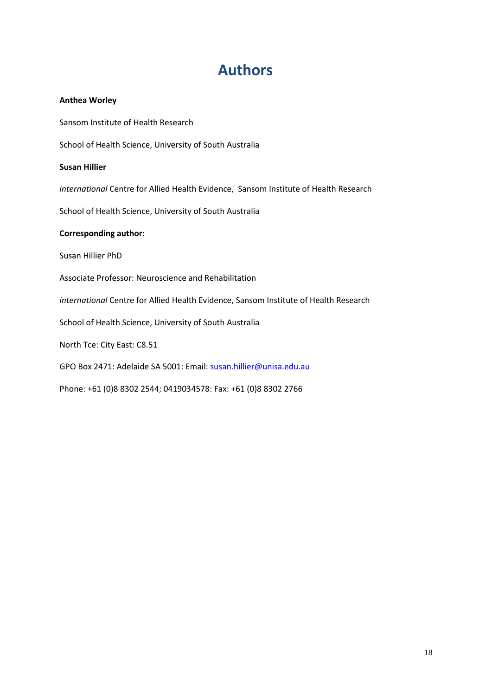## **Authors**

#### **Anthea Worley**

Sansom Institute of Health Research

School of Health Science, University of South Australia

#### **Susan Hillier**

*international* Centre for Allied Health Evidence, Sansom Institute of Health Research

School of Health Science, University of South Australia

#### **Corresponding author:**

Susan Hillier PhD

Associate Professor: Neuroscience and Rehabilitation

*international* Centre for Allied Health Evidence, Sansom Institute of Health Research

School of Health Science, University of South Australia

North Tce: City East: C8.51

GPO Box 2471: Adelaide SA 5001: Email: [susan.hillier@unisa.edu.au](mailto:susan.hillier@unisa.edu.au)

Phone: +61 (0)8 8302 2544; 0419034578: Fax: +61 (0)8 8302 2766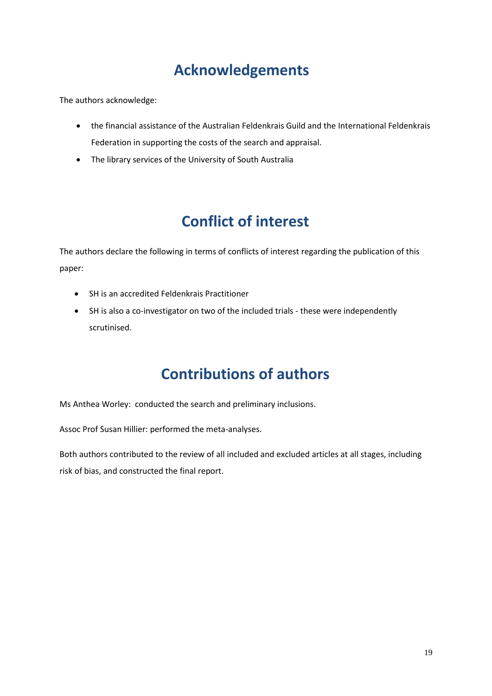# **Acknowledgements**

<span id="page-18-0"></span>The authors acknowledge:

- the financial assistance of the Australian Feldenkrais Guild and the International Feldenkrais Federation in supporting the costs of the search and appraisal.
- The library services of the University of South Australia

# **Conflict of interest**

<span id="page-18-1"></span>The authors declare the following in terms of conflicts of interest regarding the publication of this paper:

- SH is an accredited Feldenkrais Practitioner
- SH is also a co-investigator on two of the included trials these were independently scrutinised.

## **Contributions of authors**

<span id="page-18-2"></span>Ms Anthea Worley: conducted the search and preliminary inclusions.

Assoc Prof Susan Hillier: performed the meta-analyses.

Both authors contributed to the review of all included and excluded articles at all stages, including risk of bias, and constructed the final report.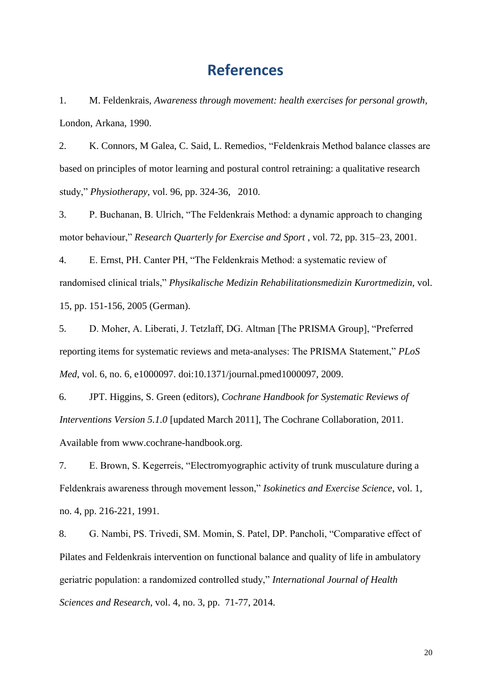### **References**

<span id="page-19-0"></span>1. M. Feldenkrais, *Awareness through movement: health exercises for personal growth*, London, Arkana, 1990.

2. K. Connors, M Galea, C. Said, L. Remedios, "Feldenkrais Method balance classes are based on principles of motor learning and postural control retraining: a qualitative research study," *Physiotherapy,* vol. 96, pp. 324-36, 2010.

3. P. Buchanan, B. Ulrich, "The Feldenkrais Method: a dynamic approach to changing motor behaviour," *Research Quarterly for Exercise and Sport* , vol. 72, pp. 315–23, 2001.

4. E. Ernst, PH. Canter PH, "The Feldenkrais Method: a systematic review of randomised clinical trials," *Physikalische Medizin Rehabilitationsmedizin Kurortmedizin*, vol. 15, pp. 151-156, 2005 (German).

5. D. Moher, A. Liberati, J. Tetzlaff, DG. Altman [The PRISMA Group], "Preferred reporting items for systematic reviews and meta-analyses: The PRISMA Statement," *PLoS Med*, vol. 6, no. 6, e1000097. doi:10.1371/journal.pmed1000097, 2009.

6. JPT. Higgins, S. Green (editors), *Cochrane Handbook for Systematic Reviews of Interventions Version 5.1.0* [updated March 2011], The Cochrane Collaboration, 2011. Available from www.cochrane-handbook.org.

7. E. Brown, S. Kegerreis, "Electromyographic activity of trunk musculature during a Feldenkrais awareness through movement lesson," *Isokinetics and Exercise Science*, vol. 1, no. 4, pp. 216-221, 1991.

8. G. Nambi, PS. Trivedi, SM. Momin, S. Patel, DP. Pancholi, "Comparative effect of Pilates and Feldenkrais intervention on functional balance and quality of life in ambulatory geriatric population: a randomized controlled study," *International Journal of Health Sciences and Research*, vol. 4, no. 3, pp. 71-77, 2014.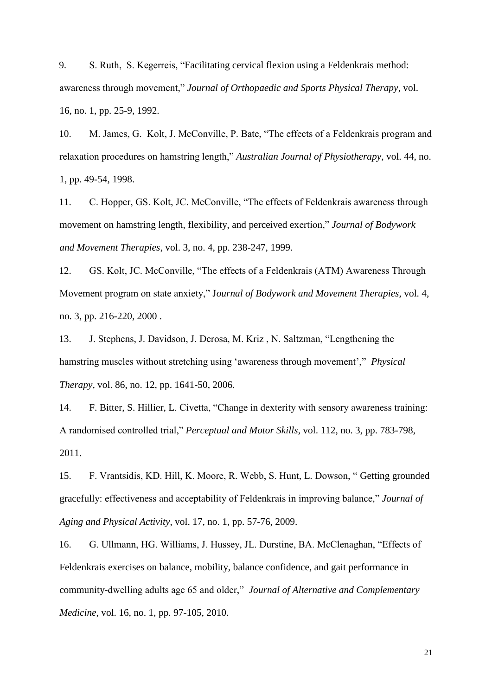9. S. Ruth, S. Kegerreis, "Facilitating cervical flexion using a Feldenkrais method: awareness through movement," *Journal of Orthopaedic and Sports Physical Therapy*, vol. 16, no. 1, pp. 25-9, 1992.

10. M. James, G. Kolt, J. McConville, P. Bate, "The effects of a Feldenkrais program and relaxation procedures on hamstring length," *Australian Journal of Physiotherapy*, vol. 44, no. 1, pp. 49-54, 1998.

11. C. Hopper, GS. Kolt, JC. McConville, "The effects of Feldenkrais awareness through movement on hamstring length, flexibility, and perceived exertion," *Journal of Bodywork and Movement Therapies*, vol. 3, no. 4, pp. 238-247, 1999.

12. GS. Kolt, JC. McConville, "The effects of a Feldenkrais (ATM) Awareness Through Movement program on state anxiety," J*ournal of Bodywork and Movement Therapies*, vol. 4, no. 3, pp. 216-220, 2000 .

13. J. Stephens, J. Davidson, J. Derosa, M. Kriz , N. Saltzman, "Lengthening the hamstring muscles without stretching using 'awareness through movement'," *Physical Therapy*, vol. 86, no. 12, pp. 1641-50, 2006.

14. F. Bitter, S. Hillier, L. Civetta, "Change in dexterity with sensory awareness training: A randomised controlled trial," *Perceptual and Motor Skills*, vol. 112, no. 3, pp. 783-798, 2011.

15. F. Vrantsidis, KD. Hill, K. Moore, R. Webb, S. Hunt, L. Dowson, " Getting grounded gracefully: effectiveness and acceptability of Feldenkrais in improving balance," *Journal of Aging and Physical Activity*, vol. 17, no. 1, pp. 57-76, 2009.

16. G. Ullmann, HG. Williams, J. Hussey, JL. Durstine, BA. McClenaghan, "Effects of Feldenkrais exercises on balance, mobility, balance confidence, and gait performance in community-dwelling adults age 65 and older," *Journal of Alternative and Complementary Medicine*, vol. 16, no. 1, pp. 97-105, 2010.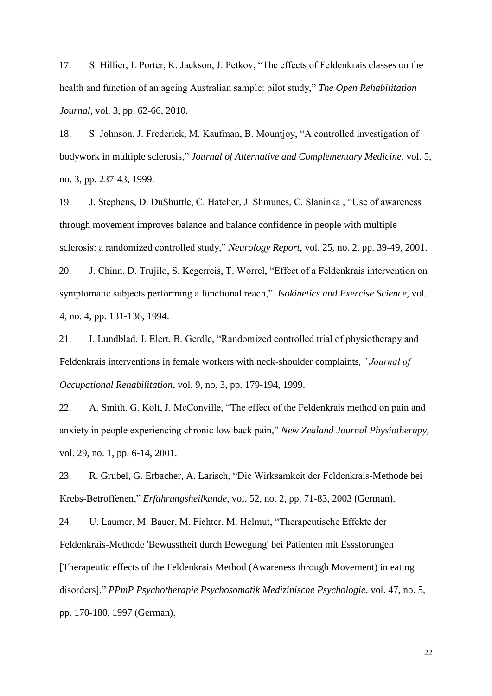17. S. Hillier, L Porter, K. Jackson, J. Petkov, "The effects of Feldenkrais classes on the health and function of an ageing Australian sample: pilot study," *The Open Rehabilitation Journal*, vol. 3, pp. 62-66, 2010.

18. S. Johnson, J. Frederick, M. Kaufman, B. Mountjoy, "A controlled investigation of bodywork in multiple sclerosis," *Journal of Alternative and Complementary Medicine*, vol. 5, no. 3, pp. 237-43, 1999.

19. J. Stephens, D. DuShuttle, C. Hatcher, J. Shmunes, C. Slaninka , "Use of awareness through movement improves balance and balance confidence in people with multiple sclerosis: a randomized controlled study," *Neurology Report*, vol. 25, no. 2, pp. 39-49, 2001. 20. J. Chinn, D. Trujilo, S. Kegerreis, T. Worrel, "Effect of a Feldenkrais intervention on symptomatic subjects performing a functional reach," *Isokinetics and Exercise Science*, vol. 4, no. 4, pp. 131-136, 1994.

21. I. Lundblad. J. Elert, B. Gerdle, "Randomized controlled trial of physiotherapy and Feldenkrais interventions in female workers with neck-shoulder complaints*," Journal of Occupational Rehabilitation*, vol. 9, no. 3, pp. 179-194, 1999.

22. A. Smith, G. Kolt, J. McConville, "The effect of the Feldenkrais method on pain and anxiety in people experiencing chronic low back pain," *New Zealand Journal Physiotherapy*, vol. 29, no. 1, pp. 6-14, 2001.

23. R. Grubel, G. Erbacher, A. Larisch, "Die Wirksamkeit der Feldenkrais-Methode bei Krebs-Betroffenen," *Erfahrungsheilkunde*, vol. 52, no. 2, pp. 71-83, 2003 (German).

24. U. Laumer, M. Bauer, M. Fichter, M. Helmut, "Therapeutische Effekte der Feldenkrais-Methode 'Bewusstheit durch Bewegung' bei Patienten mit Essstorungen [Therapeutic effects of the Feldenkrais Method (Awareness through Movement) in eating disorders]," *PPmP Psychotherapie Psychosomatik Medizinische Psychologie*, vol. 47, no. 5, pp. 170-180, 1997 (German).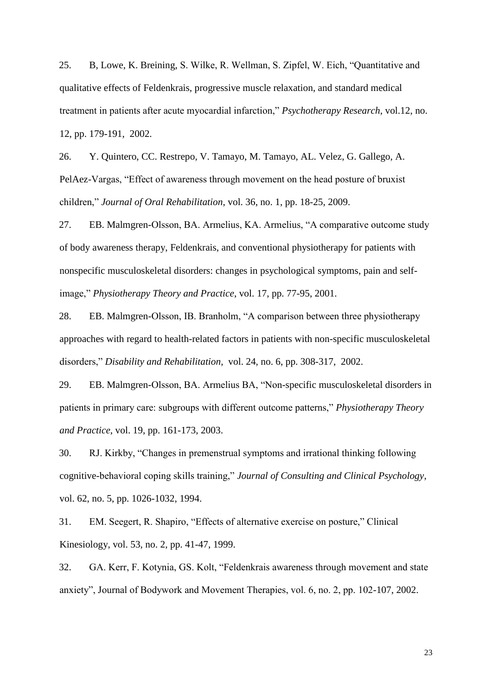25. B, Lowe, K. Breining, S. Wilke, R. Wellman, S. Zipfel, W. Eich, "Quantitative and qualitative effects of Feldenkrais, progressive muscle relaxation, and standard medical treatment in patients after acute myocardial infarction," *Psychotherapy Research*, vol.12, no. 12, pp. 179-191, 2002.

26. Y. Quintero, CC. Restrepo, V. Tamayo, M. Tamayo, AL. Velez, G. Gallego, A. PelAez-Vargas, "Effect of awareness through movement on the head posture of bruxist children," *Journal of Oral Rehabilitation*, vol. 36, no. 1, pp. 18-25, 2009.

27. EB. Malmgren-Olsson, BA. Armelius, KA. Armelius, "A comparative outcome study of body awareness therapy, Feldenkrais, and conventional physiotherapy for patients with nonspecific musculoskeletal disorders: changes in psychological symptoms, pain and selfimage," *Physiotherapy Theory and Practice*, vol. 17, pp. 77-95, 2001.

28. EB. Malmgren-Olsson, IB. Branholm, "A comparison between three physiotherapy approaches with regard to health-related factors in patients with non-specific musculoskeletal disorders," *Disability and Rehabilitation*, vol. 24, no. 6, pp. 308-317, 2002.

29. EB. Malmgren-Olsson, BA. Armelius BA, "Non-specific musculoskeletal disorders in patients in primary care: subgroups with different outcome patterns," *Physiotherapy Theory and Practice*, vol. 19, pp. 161-173, 2003.

30. RJ. Kirkby, "Changes in premenstrual symptoms and irrational thinking following cognitive-behavioral coping skills training," *Journal of Consulting and Clinical Psychology*, vol. 62, no. 5, pp. 1026-1032, 1994.

31. EM. Seegert, R. Shapiro, "Effects of alternative exercise on posture," Clinical Kinesiology, vol. 53, no. 2, pp. 41-47, 1999.

32. GA. Kerr, F. Kotynia, GS. Kolt, "Feldenkrais awareness through movement and state anxiety", Journal of Bodywork and Movement Therapies, vol. 6, no. 2, pp. 102-107, 2002.

23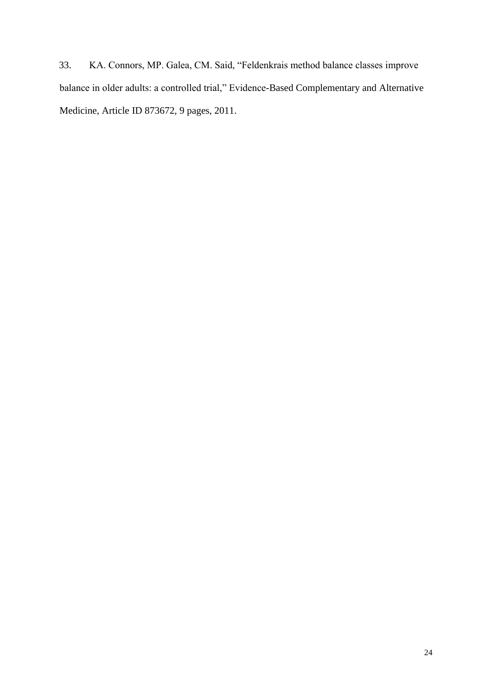33. KA. Connors, MP. Galea, CM. Said, "Feldenkrais method balance classes improve balance in older adults: a controlled trial," Evidence-Based Complementary and Alternative Medicine, Article ID 873672, 9 pages, 2011.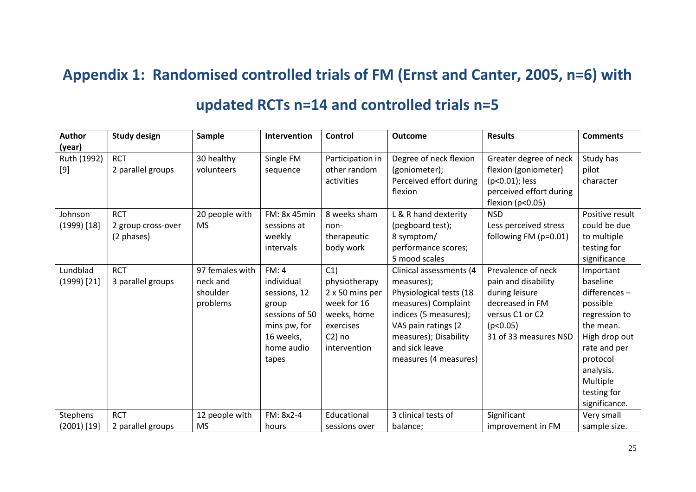## **Appendix 1: Randomised controlled trials of FM (Ernst and Canter, 2005, n=6) with**

# **updated RCTs n=14 and controlled trials n=5**

<span id="page-24-0"></span>

| Author          | <b>Study design</b> | <b>Sample</b>   | Intervention   | Control          | <b>Outcome</b>          | <b>Results</b>          | <b>Comments</b> |
|-----------------|---------------------|-----------------|----------------|------------------|-------------------------|-------------------------|-----------------|
| (year)          |                     |                 |                |                  |                         |                         |                 |
| Ruth (1992)     | <b>RCT</b>          | 30 healthy      | Single FM      | Participation in | Degree of neck flexion  | Greater degree of neck  | Study has       |
| $[9]$           | 2 parallel groups   | volunteers      | sequence       | other random     | (goniometer);           | flexion (goniometer)    | pilot           |
|                 |                     |                 |                | activities       | Perceived effort during | (p<0.01); less          | character       |
|                 |                     |                 |                |                  | flexion                 | perceived effort during |                 |
|                 |                     |                 |                |                  |                         | flexion (p<0.05)        |                 |
| Johnson         | <b>RCT</b>          | 20 people with  | FM: 8x 45min   | 8 weeks sham     | L & R hand dexterity    | <b>NSD</b>              | Positive result |
| $(1999)$ [18]   | 2 group cross-over  | <b>MS</b>       | sessions at    | non-             | (pegboard test);        | Less perceived stress   | could be due    |
|                 | (2 phases)          |                 | weekly         | therapeutic      | 8 symptom/              | following FM (p=0.01)   | to multiple     |
|                 |                     |                 | intervals      | body work        | performance scores;     |                         | testing for     |
|                 |                     |                 |                |                  | 5 mood scales           |                         | significance    |
| Lundblad        | <b>RCT</b>          | 97 females with | FM:4           | C1)              | Clinical assessments (4 | Prevalence of neck      | Important       |
| $(1999)$ [21]   | 3 parallel groups   | neck and        | individual     | physiotherapy    | measures);              | pain and disability     | baseline        |
|                 |                     | shoulder        | sessions, 12   | 2 x 50 mins per  | Physiological tests (18 | during leisure          | differences-    |
|                 |                     | problems        | group          | week for 16      | measures) Complaint     | decreased in FM         | possible        |
|                 |                     |                 | sessions of 50 | weeks, home      | indices (5 measures);   | versus C1 or C2         | regression to   |
|                 |                     |                 | mins pw, for   | exercises        | VAS pain ratings (2     | (p<0.05)                | the mean.       |
|                 |                     |                 | 16 weeks,      | $C2$ ) no        | measures); Disability   | 31 of 33 measures NSD   | High drop out   |
|                 |                     |                 | home audio     | intervention     | and sick leave          |                         | rate and per    |
|                 |                     |                 | tapes          |                  | measures (4 measures)   |                         | protocol        |
|                 |                     |                 |                |                  |                         |                         | analysis.       |
|                 |                     |                 |                |                  |                         |                         | Multiple        |
|                 |                     |                 |                |                  |                         |                         | testing for     |
|                 |                     |                 |                |                  |                         |                         | significance.   |
| <b>Stephens</b> | <b>RCT</b>          | 12 people with  | FM: 8x2-4      | Educational      | 3 clinical tests of     | Significant             | Very small      |
| $(2001)$ [19]   | 2 parallel groups   | <b>MS</b>       | hours          | sessions over    | balance;                | improvement in FM       | sample size.    |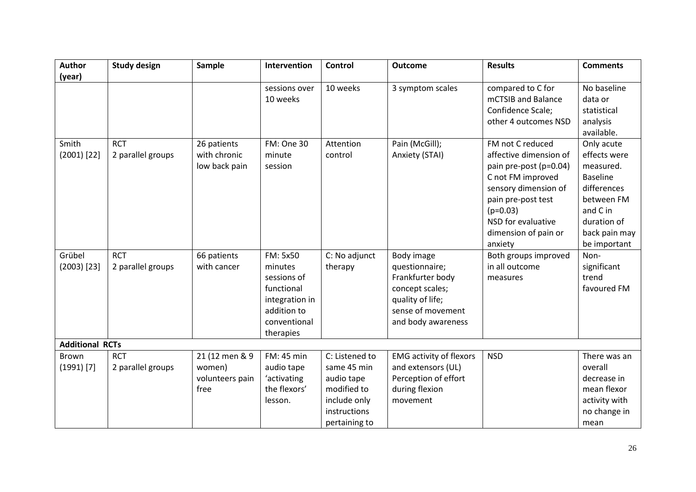| <b>Author</b>          | <b>Study design</b> | Sample          | Intervention   | <b>Control</b> | <b>Outcome</b>                 | <b>Results</b>         | <b>Comments</b> |
|------------------------|---------------------|-----------------|----------------|----------------|--------------------------------|------------------------|-----------------|
| (year)                 |                     |                 |                |                |                                |                        |                 |
|                        |                     |                 | sessions over  | 10 weeks       | 3 symptom scales               | compared to C for      | No baseline     |
|                        |                     |                 | 10 weeks       |                |                                | mCTSIB and Balance     | data or         |
|                        |                     |                 |                |                |                                | Confidence Scale;      | statistical     |
|                        |                     |                 |                |                |                                | other 4 outcomes NSD   | analysis        |
|                        |                     |                 |                |                |                                |                        | available.      |
| Smith                  | <b>RCT</b>          | 26 patients     | FM: One 30     | Attention      | Pain (McGill);                 | FM not C reduced       | Only acute      |
| $(2001)$ [22]          | 2 parallel groups   | with chronic    | minute         | control        | Anxiety (STAI)                 | affective dimension of | effects were    |
|                        |                     | low back pain   | session        |                |                                | pain pre-post (p=0.04) | measured.       |
|                        |                     |                 |                |                |                                | C not FM improved      | <b>Baseline</b> |
|                        |                     |                 |                |                |                                | sensory dimension of   | differences     |
|                        |                     |                 |                |                |                                | pain pre-post test     | between FM      |
|                        |                     |                 |                |                |                                | $(p=0.03)$             | and C in        |
|                        |                     |                 |                |                |                                | NSD for evaluative     | duration of     |
|                        |                     |                 |                |                |                                | dimension of pain or   | back pain may   |
|                        |                     |                 |                |                |                                | anxiety                | be important    |
| Grübel                 | <b>RCT</b>          | 66 patients     | FM: 5x50       | C: No adjunct  | Body image                     | Both groups improved   | Non-            |
| $(2003)$ [23]          | 2 parallel groups   | with cancer     | minutes        | therapy        | questionnaire;                 | in all outcome         | significant     |
|                        |                     |                 | sessions of    |                | Frankfurter body               | measures               | trend           |
|                        |                     |                 | functional     |                | concept scales;                |                        | favoured FM     |
|                        |                     |                 | integration in |                | quality of life;               |                        |                 |
|                        |                     |                 | addition to    |                | sense of movement              |                        |                 |
|                        |                     |                 | conventional   |                | and body awareness             |                        |                 |
|                        |                     |                 | therapies      |                |                                |                        |                 |
| <b>Additional RCTs</b> |                     |                 |                |                |                                |                        |                 |
| <b>Brown</b>           | <b>RCT</b>          | 21 (12 men & 9  | FM: 45 min     | C: Listened to | <b>EMG</b> activity of flexors | <b>NSD</b>             | There was an    |
| $(1991)$ [7]           | 2 parallel groups   | women)          | audio tape     | same 45 min    | and extensors (UL)             |                        | overall         |
|                        |                     | volunteers pain | 'activating    | audio tape     | Perception of effort           |                        | decrease in     |
|                        |                     | free            | the flexors'   | modified to    | during flexion                 |                        | mean flexor     |
|                        |                     |                 | lesson.        | include only   | movement                       |                        | activity with   |
|                        |                     |                 |                | instructions   |                                |                        | no change in    |
|                        |                     |                 |                | pertaining to  |                                |                        | mean            |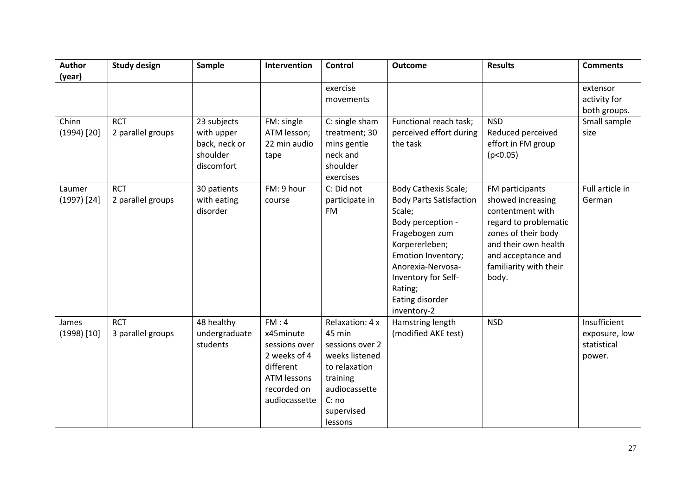| <b>Author</b> | <b>Study design</b> | Sample        | Intervention       | Control         | <b>Outcome</b>                      | <b>Results</b>                               | <b>Comments</b> |
|---------------|---------------------|---------------|--------------------|-----------------|-------------------------------------|----------------------------------------------|-----------------|
| (year)        |                     |               |                    |                 |                                     |                                              |                 |
|               |                     |               |                    | exercise        |                                     |                                              | extensor        |
|               |                     |               |                    | movements       |                                     |                                              | activity for    |
|               |                     |               |                    |                 |                                     |                                              | both groups.    |
| Chinn         | <b>RCT</b>          | 23 subjects   | FM: single         | C: single sham  | Functional reach task;              | <b>NSD</b>                                   | Small sample    |
| $(1994)$ [20] | 2 parallel groups   | with upper    | ATM lesson;        | treatment; 30   | perceived effort during             | Reduced perceived                            | size            |
|               |                     | back, neck or | 22 min audio       | mins gentle     | the task                            | effort in FM group                           |                 |
|               |                     | shoulder      | tape               | neck and        |                                     | (p<0.05)                                     |                 |
|               |                     | discomfort    |                    | shoulder        |                                     |                                              |                 |
|               |                     |               |                    | exercises       |                                     |                                              |                 |
| Laumer        | <b>RCT</b>          | 30 patients   | FM: 9 hour         | C: Did not      | <b>Body Cathexis Scale;</b>         | FM participants                              | Full article in |
| $(1997)$ [24] | 2 parallel groups   | with eating   | course             | participate in  | <b>Body Parts Satisfaction</b>      | showed increasing                            | German          |
|               |                     | disorder      |                    | <b>FM</b>       | Scale;                              | contentment with                             |                 |
|               |                     |               |                    |                 | Body perception -<br>Fragebogen zum | regard to problematic<br>zones of their body |                 |
|               |                     |               |                    |                 | Korpererleben;                      | and their own health                         |                 |
|               |                     |               |                    |                 | Emotion Inventory;                  | and acceptance and                           |                 |
|               |                     |               |                    |                 | Anorexia-Nervosa-                   | familiarity with their                       |                 |
|               |                     |               |                    |                 | Inventory for Self-                 | body.                                        |                 |
|               |                     |               |                    |                 | Rating;                             |                                              |                 |
|               |                     |               |                    |                 | Eating disorder                     |                                              |                 |
|               |                     |               |                    |                 | inventory-2                         |                                              |                 |
| James         | <b>RCT</b>          | 48 healthy    | FM:4               | Relaxation: 4 x | Hamstring length                    | <b>NSD</b>                                   | Insufficient    |
| $(1998)$ [10] | 3 parallel groups   | undergraduate | x45minute          | 45 min          | (modified AKE test)                 |                                              | exposure, low   |
|               |                     | students      | sessions over      | sessions over 2 |                                     |                                              | statistical     |
|               |                     |               | 2 weeks of 4       | weeks listened  |                                     |                                              | power.          |
|               |                     |               | different          | to relaxation   |                                     |                                              |                 |
|               |                     |               | <b>ATM lessons</b> | training        |                                     |                                              |                 |
|               |                     |               | recorded on        | audiocassette   |                                     |                                              |                 |
|               |                     |               | audiocassette      | C: no           |                                     |                                              |                 |
|               |                     |               |                    | supervised      |                                     |                                              |                 |
|               |                     |               |                    | lessons         |                                     |                                              |                 |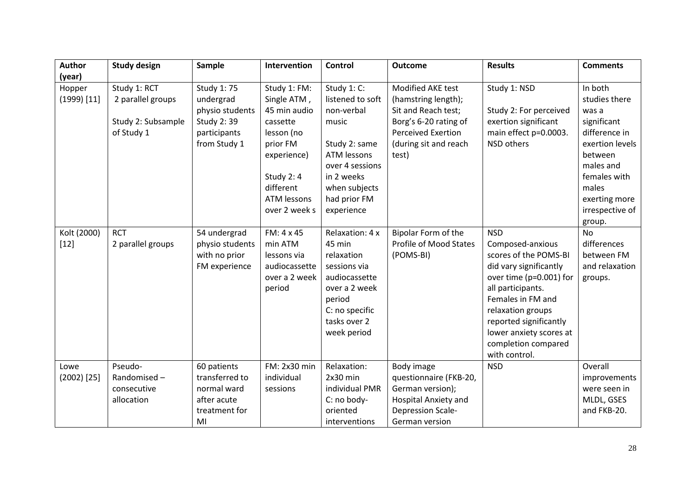| <b>Author</b>         | <b>Study design</b> | Sample                          | Intervention       | <b>Control</b>     | <b>Outcome</b>                                | <b>Results</b>          | <b>Comments</b>   |
|-----------------------|---------------------|---------------------------------|--------------------|--------------------|-----------------------------------------------|-------------------------|-------------------|
| (year)                |                     |                                 |                    |                    |                                               |                         |                   |
| Hopper                | Study 1: RCT        | Study 1: 75                     | Study 1: FM:       | Study 1: C:        | Modified AKE test                             | Study 1: NSD            | In both           |
| $(1999)$ [11]         | 2 parallel groups   | undergrad                       | Single ATM,        | listened to soft   | (hamstring length);                           |                         | studies there     |
|                       |                     | physio students                 | 45 min audio       | non-verbal         | Sit and Reach test;                           | Study 2: For perceived  | was a             |
|                       | Study 2: Subsample  | Study 2:39                      | cassette           | music              | Borg's 6-20 rating of                         | exertion significant    | significant       |
|                       | of Study 1          | participants                    | lesson (no         |                    | <b>Perceived Exertion</b>                     | main effect p=0.0003.   | difference in     |
|                       |                     | from Study 1                    | prior FM           | Study 2: same      | (during sit and reach                         | <b>NSD</b> others       | exertion levels   |
|                       |                     |                                 | experience)        | <b>ATM lessons</b> | test)                                         |                         | between           |
|                       |                     |                                 |                    | over 4 sessions    |                                               |                         | males and         |
|                       |                     |                                 | Study 2: 4         | in 2 weeks         |                                               |                         | females with      |
|                       |                     |                                 | different          | when subjects      |                                               |                         | males             |
|                       |                     |                                 | <b>ATM lessons</b> | had prior FM       |                                               |                         | exerting more     |
|                       |                     |                                 | over 2 week s      | experience         |                                               |                         | irrespective of   |
|                       | <b>RCT</b>          |                                 | FM: 4 x 45         | Relaxation: 4 x    |                                               | <b>NSD</b>              | group.            |
| Kolt (2000)<br>$[12]$ | 2 parallel groups   | 54 undergrad<br>physio students | min ATM            | 45 min             | Bipolar Form of the<br>Profile of Mood States | Composed-anxious        | No<br>differences |
|                       |                     | with no prior                   | lessons via        | relaxation         | (POMS-BI)                                     | scores of the POMS-BI   | between FM        |
|                       |                     | FM experience                   | audiocassette      | sessions via       |                                               | did vary significantly  | and relaxation    |
|                       |                     |                                 | over a 2 week      | audiocassette      |                                               | over time (p=0.001) for | groups.           |
|                       |                     |                                 | period             | over a 2 week      |                                               | all participants.       |                   |
|                       |                     |                                 |                    | period             |                                               | Females in FM and       |                   |
|                       |                     |                                 |                    | C: no specific     |                                               | relaxation groups       |                   |
|                       |                     |                                 |                    | tasks over 2       |                                               | reported significantly  |                   |
|                       |                     |                                 |                    | week period        |                                               | lower anxiety scores at |                   |
|                       |                     |                                 |                    |                    |                                               | completion compared     |                   |
|                       |                     |                                 |                    |                    |                                               | with control.           |                   |
| Lowe                  | Pseudo-             | 60 patients                     | FM: 2x30 min       | Relaxation:        | Body image                                    | <b>NSD</b>              | Overall           |
| $(2002)$ [25]         | Randomised-         | transferred to                  | individual         | $2x30$ min         | questionnaire (FKB-20,                        |                         | improvements      |
|                       | consecutive         | normal ward                     | sessions           | individual PMR     | German version);                              |                         | were seen in      |
|                       | allocation          | after acute                     |                    | C: no body-        | <b>Hospital Anxiety and</b>                   |                         | MLDL, GSES        |
|                       |                     | treatment for                   |                    | oriented           | <b>Depression Scale-</b>                      |                         | and FKB-20.       |
|                       |                     | MI                              |                    | interventions      | German version                                |                         |                   |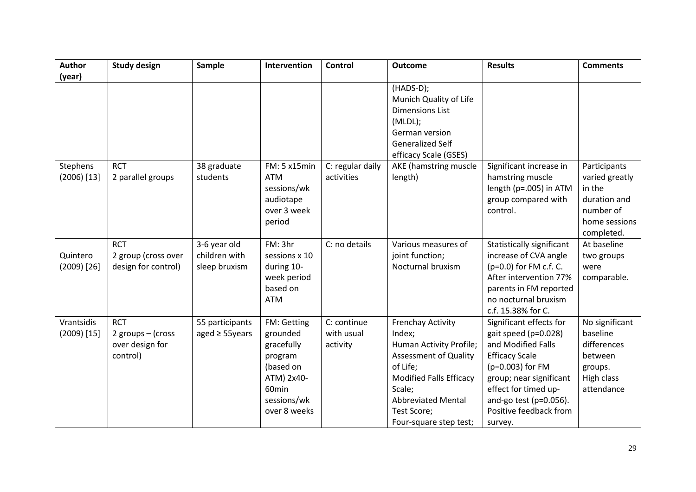| <b>Author</b>               | <b>Study design</b>                                            | Sample                                         | Intervention                                                                                                        | <b>Control</b>                        | <b>Outcome</b>                                                                                                                                                                                                              | <b>Results</b>                                                                                                                                                                                                                           | <b>Comments</b>                                                                                      |
|-----------------------------|----------------------------------------------------------------|------------------------------------------------|---------------------------------------------------------------------------------------------------------------------|---------------------------------------|-----------------------------------------------------------------------------------------------------------------------------------------------------------------------------------------------------------------------------|------------------------------------------------------------------------------------------------------------------------------------------------------------------------------------------------------------------------------------------|------------------------------------------------------------------------------------------------------|
| (year)                      |                                                                |                                                |                                                                                                                     |                                       |                                                                                                                                                                                                                             |                                                                                                                                                                                                                                          |                                                                                                      |
|                             |                                                                |                                                |                                                                                                                     |                                       | (HADS-D);<br>Munich Quality of Life<br><b>Dimensions List</b><br>(MLDL);<br>German version<br><b>Generalized Self</b><br>efficacy Scale (GSES)                                                                              |                                                                                                                                                                                                                                          |                                                                                                      |
| Stephens<br>$(2006)$ [13]   | <b>RCT</b><br>2 parallel groups                                | 38 graduate<br>students                        | FM: 5 x15min<br><b>ATM</b><br>sessions/wk<br>audiotape<br>over 3 week<br>period                                     | C: regular daily<br>activities        | AKE (hamstring muscle<br>length)                                                                                                                                                                                            | Significant increase in<br>hamstring muscle<br>length (p=.005) in ATM<br>group compared with<br>control.                                                                                                                                 | Participants<br>varied greatly<br>in the<br>duration and<br>number of<br>home sessions<br>completed. |
| Quintero<br>$(2009)$ [26]   | <b>RCT</b><br>2 group (cross over<br>design for control)       | 3-6 year old<br>children with<br>sleep bruxism | FM: 3hr<br>sessions x 10<br>during 10-<br>week period<br>based on<br><b>ATM</b>                                     | C: no details                         | Various measures of<br>joint function;<br>Nocturnal bruxism                                                                                                                                                                 | Statistically significant<br>increase of CVA angle<br>(p=0.0) for FM c.f. C.<br>After intervention 77%<br>parents in FM reported<br>no nocturnal bruxism<br>c.f. 15.38% for C.                                                           | At baseline<br>two groups<br>were<br>comparable.                                                     |
| Vrantsidis<br>$(2009)$ [15] | <b>RCT</b><br>2 groups - (cross<br>over design for<br>control) | 55 participants<br>aged $\geq$ 55years         | FM: Getting<br>grounded<br>gracefully<br>program<br>(based on<br>ATM) 2x40-<br>60min<br>sessions/wk<br>over 8 weeks | C: continue<br>with usual<br>activity | <b>Frenchay Activity</b><br>Index;<br>Human Activity Profile;<br><b>Assessment of Quality</b><br>of Life;<br><b>Modified Falls Efficacy</b><br>Scale;<br><b>Abbreviated Mental</b><br>Test Score;<br>Four-square step test; | Significant effects for<br>gait speed (p=0.028)<br>and Modified Falls<br><b>Efficacy Scale</b><br>(p=0.003) for FM<br>group; near significant<br>effect for timed up-<br>and-go test ( $p=0.056$ ).<br>Positive feedback from<br>survey. | No significant<br>baseline<br>differences<br>between<br>groups.<br>High class<br>attendance          |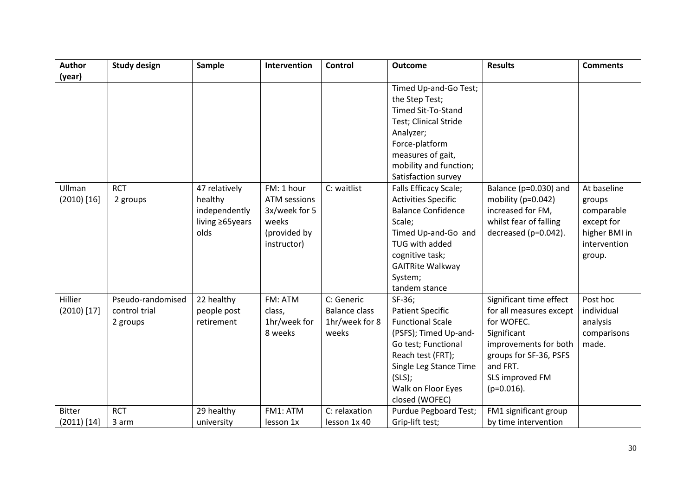| <b>Author</b> | <b>Study design</b> | Sample          | Intervention        | <b>Control</b>       | <b>Outcome</b>             | <b>Results</b>          | <b>Comments</b> |
|---------------|---------------------|-----------------|---------------------|----------------------|----------------------------|-------------------------|-----------------|
| (year)        |                     |                 |                     |                      |                            |                         |                 |
|               |                     |                 |                     |                      | Timed Up-and-Go Test;      |                         |                 |
|               |                     |                 |                     |                      | the Step Test;             |                         |                 |
|               |                     |                 |                     |                      | <b>Timed Sit-To-Stand</b>  |                         |                 |
|               |                     |                 |                     |                      | Test; Clinical Stride      |                         |                 |
|               |                     |                 |                     |                      | Analyzer;                  |                         |                 |
|               |                     |                 |                     |                      | Force-platform             |                         |                 |
|               |                     |                 |                     |                      | measures of gait,          |                         |                 |
|               |                     |                 |                     |                      | mobility and function;     |                         |                 |
|               |                     |                 |                     |                      | Satisfaction survey        |                         |                 |
| Ullman        | <b>RCT</b>          | 47 relatively   | FM: 1 hour          | C: waitlist          | Falls Efficacy Scale;      | Balance (p=0.030) and   | At baseline     |
| $(2010)$ [16] | 2 groups            | healthy         | <b>ATM</b> sessions |                      | <b>Activities Specific</b> | mobility (p=0.042)      | groups          |
|               |                     | independently   | 3x/week for 5       |                      | <b>Balance Confidence</b>  | increased for FM,       | comparable      |
|               |                     | living ≥65years | weeks               |                      | Scale;                     | whilst fear of falling  | except for      |
|               |                     | olds            | (provided by        |                      | Timed Up-and-Go and        | decreased (p=0.042).    | higher BMI in   |
|               |                     |                 | instructor)         |                      | TUG with added             |                         | intervention    |
|               |                     |                 |                     |                      | cognitive task;            |                         | group.          |
|               |                     |                 |                     |                      | <b>GAITRite Walkway</b>    |                         |                 |
|               |                     |                 |                     |                      | System;                    |                         |                 |
|               |                     |                 |                     |                      | tandem stance              |                         |                 |
| Hillier       | Pseudo-randomised   | 22 healthy      | FM: ATM             | C: Generic           | SF-36;                     | Significant time effect | Post hoc        |
| $(2010)$ [17] | control trial       | people post     | class,              | <b>Balance class</b> | <b>Patient Specific</b>    | for all measures except | individual      |
|               | 2 groups            | retirement      | 1hr/week for        | 1hr/week for 8       | <b>Functional Scale</b>    | for WOFEC.              | analysis        |
|               |                     |                 | 8 weeks             | weeks                | (PSFS); Timed Up-and-      | Significant             | comparisons     |
|               |                     |                 |                     |                      | Go test; Functional        | improvements for both   | made.           |
|               |                     |                 |                     |                      | Reach test (FRT);          | groups for SF-36, PSFS  |                 |
|               |                     |                 |                     |                      | Single Leg Stance Time     | and FRT.                |                 |
|               |                     |                 |                     |                      | (SLS);                     | SLS improved FM         |                 |
|               |                     |                 |                     |                      | Walk on Floor Eyes         | $(p=0.016)$ .           |                 |
|               |                     |                 |                     |                      | closed (WOFEC)             |                         |                 |
| <b>Bitter</b> | <b>RCT</b>          | 29 healthy      | FM1: ATM            | C: relaxation        | Purdue Pegboard Test;      | FM1 significant group   |                 |
| $(2011)$ [14] | 3 arm               | university      | lesson 1x           | lesson 1x 40         | Grip-lift test;            | by time intervention    |                 |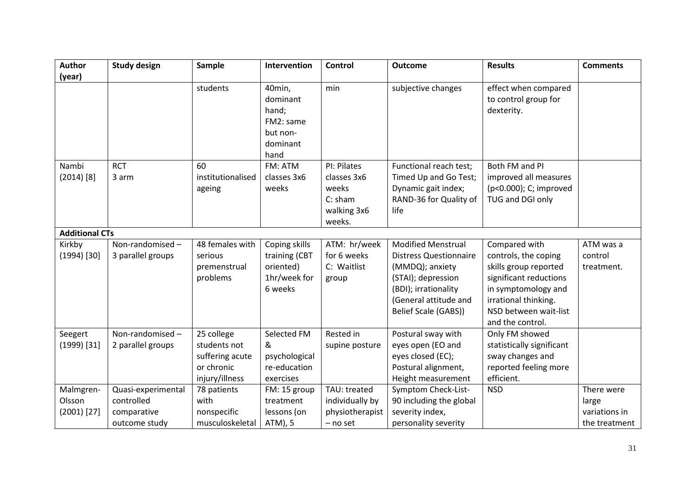| <b>Author</b>         | <b>Study design</b> | Sample            | Intervention                                                             | Control         | <b>Outcome</b>                | <b>Results</b>                                             | <b>Comments</b> |
|-----------------------|---------------------|-------------------|--------------------------------------------------------------------------|-----------------|-------------------------------|------------------------------------------------------------|-----------------|
| (year)                |                     |                   |                                                                          |                 |                               |                                                            |                 |
|                       |                     | students          | 40min,<br>dominant<br>hand;<br>FM2: same<br>but non-<br>dominant<br>hand | min             | subjective changes            | effect when compared<br>to control group for<br>dexterity. |                 |
| Nambi                 | <b>RCT</b>          | 60                | FM: ATM                                                                  | PI: Pilates     | Functional reach test;        | Both FM and PI                                             |                 |
| $(2014)$ [8]          | 3 arm               | institutionalised | classes 3x6                                                              | classes 3x6     | Timed Up and Go Test;         | improved all measures                                      |                 |
|                       |                     | ageing            | weeks                                                                    | weeks           | Dynamic gait index;           | (p<0.000); C; improved                                     |                 |
|                       |                     |                   |                                                                          | $C:$ sham       | RAND-36 for Quality of        | TUG and DGI only                                           |                 |
|                       |                     |                   |                                                                          | walking 3x6     | life                          |                                                            |                 |
|                       |                     |                   |                                                                          | weeks.          |                               |                                                            |                 |
| <b>Additional CTs</b> |                     |                   |                                                                          |                 |                               |                                                            |                 |
| Kirkby                | Non-randomised-     | 48 females with   | Coping skills                                                            | ATM: hr/week    | <b>Modified Menstrual</b>     | Compared with                                              | ATM was a       |
| $(1994)$ [30]         | 3 parallel groups   | serious           | training (CBT                                                            | for 6 weeks     | <b>Distress Questionnaire</b> | controls, the coping                                       | control         |
|                       |                     | premenstrual      | oriented)                                                                | C: Waitlist     | (MMDQ); anxiety               | skills group reported                                      | treatment.      |
|                       |                     | problems          | 1hr/week for                                                             | group           | (STAI); depression            | significant reductions                                     |                 |
|                       |                     |                   | 6 weeks                                                                  |                 | (BDI); irrationality          | in symptomology and                                        |                 |
|                       |                     |                   |                                                                          |                 | (General attitude and         | irrational thinking.                                       |                 |
|                       |                     |                   |                                                                          |                 | Belief Scale (GABS))          | NSD between wait-list                                      |                 |
|                       |                     |                   |                                                                          |                 |                               | and the control.                                           |                 |
| Seegert               | Non-randomised-     | 25 college        | Selected FM                                                              | Rested in       | Postural sway with            | Only FM showed                                             |                 |
| $(1999)$ [31]         | 2 parallel groups   | students not      | &                                                                        | supine posture  | eyes open (EO and             | statistically significant                                  |                 |
|                       |                     | suffering acute   | psychological                                                            |                 | eyes closed (EC);             | sway changes and                                           |                 |
|                       |                     | or chronic        | re-education                                                             |                 | Postural alignment,           | reported feeling more                                      |                 |
|                       |                     | injury/illness    | exercises                                                                |                 | Height measurement            | efficient.                                                 |                 |
| Malmgren-             | Quasi-experimental  | 78 patients       | FM: 15 group                                                             | TAU: treated    | Symptom Check-List-           | <b>NSD</b>                                                 | There were      |
| Olsson                | controlled          | with              | treatment                                                                | individually by | 90 including the global       |                                                            | large           |
| $(2001)$ [27]         | comparative         | nonspecific       | lessons (on                                                              | physiotherapist | severity index,               |                                                            | variations in   |
|                       | outcome study       | musculoskeletal   | ATM), 5                                                                  | - no set        | personality severity          |                                                            | the treatment   |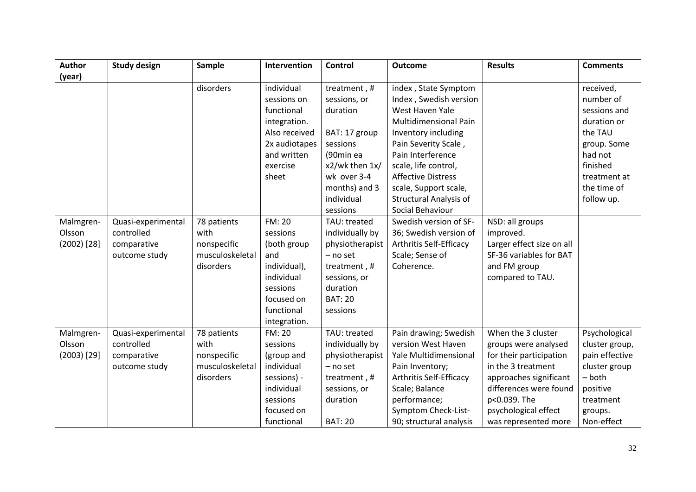| <b>Author</b> | <b>Study design</b> | Sample          | Intervention  | <b>Control</b>  | <b>Outcome</b>                | <b>Results</b>            | <b>Comments</b> |
|---------------|---------------------|-----------------|---------------|-----------------|-------------------------------|---------------------------|-----------------|
| (year)        |                     |                 |               |                 |                               |                           |                 |
|               |                     | disorders       | individual    | treatment, #    | index, State Symptom          |                           | received,       |
|               |                     |                 | sessions on   | sessions, or    | Index, Swedish version        |                           | number of       |
|               |                     |                 | functional    | duration        | West Haven Yale               |                           | sessions and    |
|               |                     |                 | integration.  |                 | <b>Multidimensional Pain</b>  |                           | duration or     |
|               |                     |                 | Also received | BAT: 17 group   | Inventory including           |                           | the TAU         |
|               |                     |                 | 2x audiotapes | sessions        | Pain Severity Scale,          |                           | group. Some     |
|               |                     |                 | and written   | (90min ea       | Pain Interference             |                           | had not         |
|               |                     |                 | exercise      | x2/wk then 1x/  | scale, life control,          |                           | finished        |
|               |                     |                 | sheet         | wk over 3-4     | <b>Affective Distress</b>     |                           | treatment at    |
|               |                     |                 |               | months) and 3   | scale, Support scale,         |                           | the time of     |
|               |                     |                 |               | individual      | <b>Structural Analysis of</b> |                           | follow up.      |
|               |                     |                 |               | sessions        | Social Behaviour              |                           |                 |
| Malmgren-     | Quasi-experimental  | 78 patients     | <b>FM: 20</b> | TAU: treated    | Swedish version of SF-        | NSD: all groups           |                 |
| Olsson        | controlled          | with            | sessions      | individually by | 36; Swedish version of        | improved.                 |                 |
| $(2002)$ [28] | comparative         | nonspecific     | (both group   | physiotherapist | Arthritis Self-Efficacy       | Larger effect size on all |                 |
|               | outcome study       | musculoskeletal | and           | $-$ no set      | Scale; Sense of               | SF-36 variables for BAT   |                 |
|               |                     | disorders       | individual),  | treatment, #    | Coherence.                    | and FM group              |                 |
|               |                     |                 | individual    | sessions, or    |                               | compared to TAU.          |                 |
|               |                     |                 | sessions      | duration        |                               |                           |                 |
|               |                     |                 | focused on    | <b>BAT: 20</b>  |                               |                           |                 |
|               |                     |                 | functional    | sessions        |                               |                           |                 |
|               |                     |                 | integration.  |                 |                               |                           |                 |
| Malmgren-     | Quasi-experimental  | 78 patients     | <b>FM: 20</b> | TAU: treated    | Pain drawing; Swedish         | When the 3 cluster        | Psychological   |
| Olsson        | controlled          | with            | sessions      | individually by | version West Haven            | groups were analysed      | cluster group,  |
| $(2003)$ [29] | comparative         | nonspecific     | (group and    | physiotherapist | Yale Multidimensional         | for their participation   | pain effective  |
|               | outcome study       | musculoskeletal | individual    | - no set        | Pain Inventory;               | in the 3 treatment        | cluster group   |
|               |                     | disorders       | sessions) -   | treatment, #    | Arthritis Self-Efficacy       | approaches significant    | $-$ both        |
|               |                     |                 | individual    | sessions, or    | Scale; Balance                | differences were found    | positive        |
|               |                     |                 | sessions      | duration        | performance;                  | p<0.039. The              | treatment       |
|               |                     |                 | focused on    |                 | Symptom Check-List-           | psychological effect      | groups.         |
|               |                     |                 | functional    | <b>BAT: 20</b>  | 90; structural analysis       | was represented more      | Non-effect      |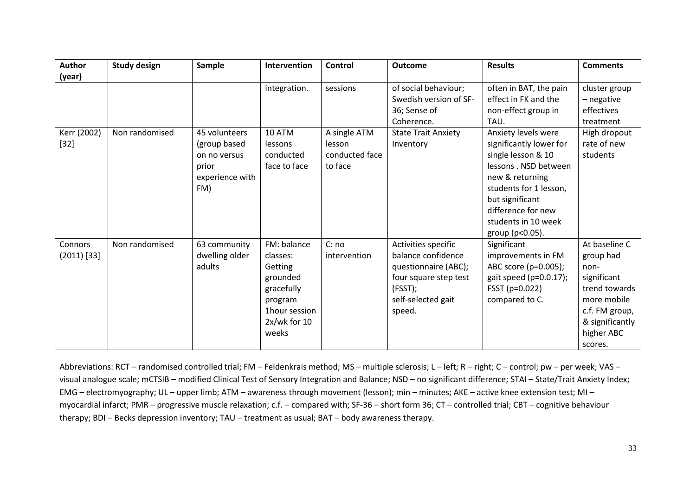| Author                   | <b>Study design</b> | Sample                                                                           | Intervention                                                                                                        | Control                                             | <b>Outcome</b>                                                                                                                        | <b>Results</b>                                                                                                                                                                                                                | <b>Comments</b>                                                                                                                                 |
|--------------------------|---------------------|----------------------------------------------------------------------------------|---------------------------------------------------------------------------------------------------------------------|-----------------------------------------------------|---------------------------------------------------------------------------------------------------------------------------------------|-------------------------------------------------------------------------------------------------------------------------------------------------------------------------------------------------------------------------------|-------------------------------------------------------------------------------------------------------------------------------------------------|
| (year)                   |                     |                                                                                  |                                                                                                                     |                                                     |                                                                                                                                       |                                                                                                                                                                                                                               |                                                                                                                                                 |
|                          |                     |                                                                                  | integration.                                                                                                        | sessions                                            | of social behaviour;<br>Swedish version of SF-<br>36; Sense of<br>Coherence.                                                          | often in BAT, the pain<br>effect in FK and the<br>non-effect group in<br>TAU.                                                                                                                                                 | cluster group<br>- negative<br>effectives<br>treatment                                                                                          |
| Kerr (2002)<br>$[32]$    | Non randomised      | 45 volunteers<br>(group based<br>on no versus<br>prior<br>experience with<br>FM) | 10 ATM<br>lessons<br>conducted<br>face to face                                                                      | A single ATM<br>lesson<br>conducted face<br>to face | <b>State Trait Anxiety</b><br>Inventory                                                                                               | Anxiety levels were<br>significantly lower for<br>single lesson & 10<br>lessons . NSD between<br>new & returning<br>students for 1 lesson,<br>but significant<br>difference for new<br>students in 10 week<br>group (p<0.05). | High dropout<br>rate of new<br>students                                                                                                         |
| Connors<br>$(2011)$ [33] | Non randomised      | 63 community<br>dwelling older<br>adults                                         | FM: balance<br>classes:<br>Getting<br>grounded<br>gracefully<br>program<br>1hour session<br>$2x/wk$ for 10<br>weeks | C: no<br>intervention                               | Activities specific<br>balance confidence<br>questionnaire (ABC);<br>four square step test<br>(FSST);<br>self-selected gait<br>speed. | Significant<br>improvements in FM<br>ABC score (p=0.005);<br>gait speed ( $p=0.0.17$ );<br>FSST (p=0.022)<br>compared to C.                                                                                                   | At baseline C<br>group had<br>non-<br>significant<br>trend towards<br>more mobile<br>c.f. FM group,<br>& significantly<br>higher ABC<br>scores. |

Abbreviations: RCT – randomised controlled trial; FM – Feldenkrais method; MS – multiple sclerosis; L – left; R – right; C – control; pw – per week; VAS – visual analogue scale; mCTSIB – modified Clinical Test of Sensory Integration and Balance; NSD – no significant difference; STAI – State/Trait Anxiety Index; EMG – electromyography; UL – upper limb; ATM – awareness through movement (lesson); min – minutes; AKE – active knee extension test; MI – myocardial infarct; PMR – progressive muscle relaxation; c.f. – compared with; SF-36 – short form 36; CT – controlled trial; CBT – cognitive behaviour therapy; BDI – Becks depression inventory; TAU – treatment as usual; BAT – body awareness therapy.